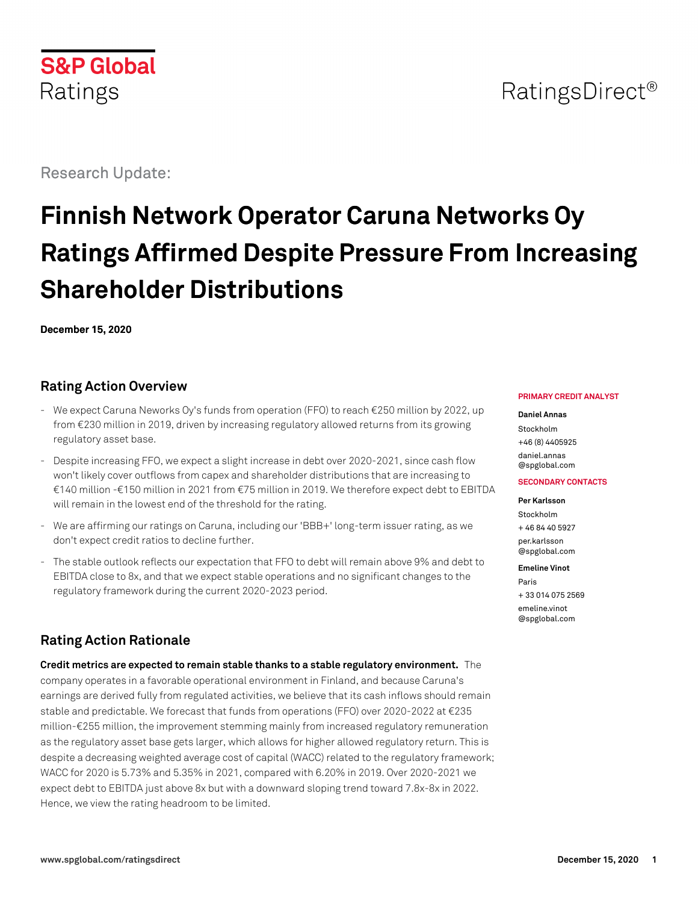

## RatingsDirect<sup>®</sup>

Research Update:

# **Finnish Network Operator Caruna Networks Oy Ratings Affirmed Despite Pressure From Increasing Shareholder Distributions**

**December 15, 2020**

## **Rating Action Overview**

- We expect Caruna Neworks Oy's funds from operation (FFO) to reach €250 million by 2022, up from €230 million in 2019, driven by increasing regulatory allowed returns from its growing regulatory asset base.
- Despite increasing FFO, we expect a slight increase in debt over 2020-2021, since cash flow won't likely cover outflows from capex and shareholder distributions that are increasing to €140 million -€150 million in 2021 from €75 million in 2019. We therefore expect debt to EBITDA will remain in the lowest end of the threshold for the rating.
- We are affirming our ratings on Caruna, including our 'BBB+' long-term issuer rating, as we don't expect credit ratios to decline further.
- The stable outlook reflects our expectation that FFO to debt will remain above 9% and debt to EBITDA close to 8x, and that we expect stable operations and no significant changes to the regulatory framework during the current 2020-2023 period.

## **Rating Action Rationale**

**Credit metrics are expected to remain stable thanks to a stable regulatory environment.** The company operates in a favorable operational environment in Finland, and because Caruna's earnings are derived fully from regulated activities, we believe that its cash inflows should remain stable and predictable. We forecast that funds from operations (FFO) over 2020-2022 at  $\epsilon$ 235 million-€255 million, the improvement stemming mainly from increased regulatory remuneration as the regulatory asset base gets larger, which allows for higher allowed regulatory return. This is despite a decreasing weighted average cost of capital (WACC) related to the regulatory framework; WACC for 2020 is 5.73% and 5.35% in 2021, compared with 6.20% in 2019. Over 2020-2021 we expect debt to EBITDA just above 8x but with a downward sloping trend toward 7.8x-8x in 2022. Hence, we view the rating headroom to be limited.

#### **PRIMARY CREDIT ANALYST**

#### **Daniel Annas**

Stockholm +46 (8) 4405925 [daniel.annas](mailto:daniel.annas@spglobal.com) [@spglobal.com](mailto:daniel.annas@spglobal.com)

#### **SECONDARY CONTACTS**

**Per Karlsson**

Stockholm + 46 84 40 5927 [per.karlsson](mailto:per.karlsson@spglobal.com) [@spglobal.com](mailto:per.karlsson@spglobal.com)

#### **Emeline Vinot**

Paris + 33 014 075 2569 [emeline.vinot](mailto:emeline.vinot@spglobal.com) [@spglobal.com](mailto:emeline.vinot@spglobal.com)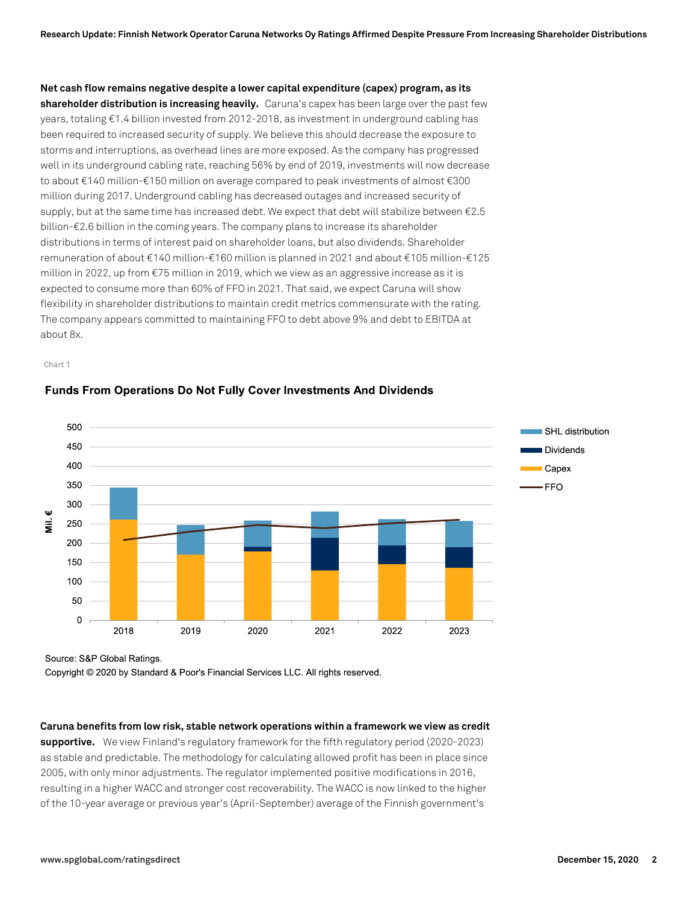**Net cash flow remains negative despite a lower capital expenditure (capex) program, as its**

**shareholder distribution is increasing heavily.** Caruna's capex has been large over the past few years, totaling €1.4 billion invested from 2012-2018, as investment in underground cabling has been required to increased security of supply. We believe this should decrease the exposure to storms and interruptions, as overhead lines are more exposed. As the company has progressed well in its underground cabling rate, reaching 56% by end of 2019, investments will now decrease to about €140 million-€150 million on average compared to peak investments of almost €300 million during 2017. Underground cabling has decreased outages and increased security of supply, but at the same time has increased debt. We expect that debt will stabilize between €2.5 billion-€2.6 billion in the coming years. The company plans to increase its shareholder distributions in terms of interest paid on shareholder loans, but also dividends. Shareholder remuneration of about €140 million-€160 million is planned in 2021 and about €105 million-€125 million in 2022, up from €75 million in 2019, which we view as an aggressive increase as it is expected to consume more than 60% of FFO in 2021. That said, we expect Caruna will show flexibility in shareholder distributions to maintain credit metrics commensurate with the rating. The company appears committed to maintaining FFO to debt above 9% and debt to EBITDA at about 8x.

Chart 1



#### **Funds From Operations Do Not Fully Cover Investments And Dividends**

Source: S&P Global Ratings.

Copyright © 2020 by Standard & Poor's Financial Services LLC. All rights reserved.

**Caruna benefits from low risk, stable network operations within a framework we view as credit**

**supportive.** We view Finland's regulatory framework for the fifth regulatory period (2020-2023) as stable and predictable. The methodology for calculating allowed profit has been in place since 2005, with only minor adjustments. The regulator implemented positive modifications in 2016, resulting in a higher WACC and stronger cost recoverability. The WACC is now linked to the higher of the 10-year average or previous year's (April-September) average of the Finnish government's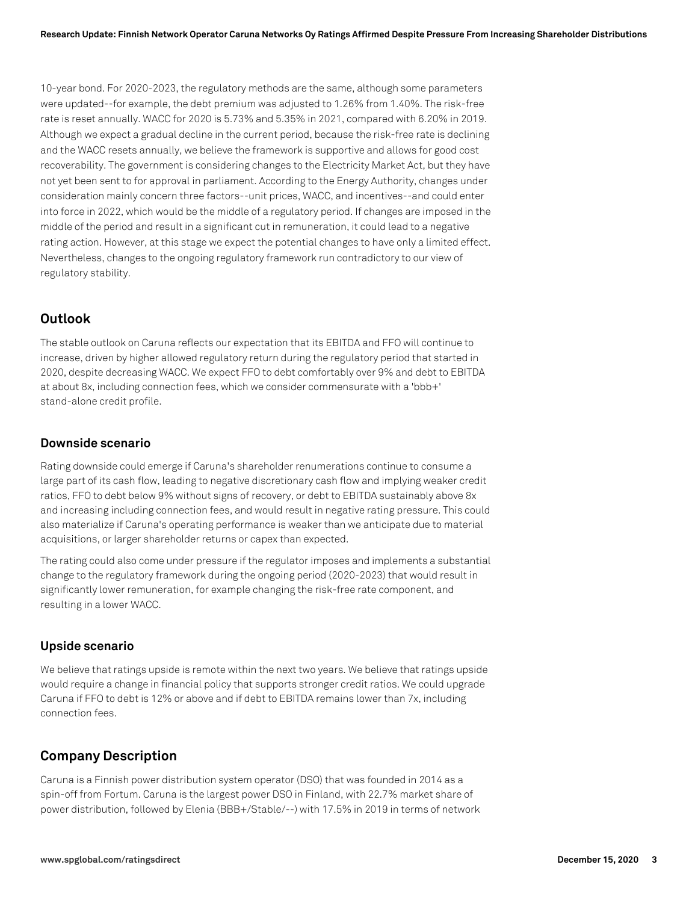10-year bond. For 2020-2023, the regulatory methods are the same, although some parameters were updated--for example, the debt premium was adjusted to 1.26% from 1.40%. The risk-free rate is reset annually. WACC for 2020 is 5.73% and 5.35% in 2021, compared with 6.20% in 2019. Although we expect a gradual decline in the current period, because the risk-free rate is declining and the WACC resets annually, we believe the framework is supportive and allows for good cost recoverability. The government is considering changes to the Electricity Market Act, but they have not yet been sent to for approval in parliament. According to the Energy Authority, changes under consideration mainly concern three factors--unit prices, WACC, and incentives--and could enter into force in 2022, which would be the middle of a regulatory period. If changes are imposed in the middle of the period and result in a significant cut in remuneration, it could lead to a negative rating action. However, at this stage we expect the potential changes to have only a limited effect. Nevertheless, changes to the ongoing regulatory framework run contradictory to our view of regulatory stability.

## **Outlook**

The stable outlook on Caruna reflects our expectation that its EBITDA and FFO will continue to increase, driven by higher allowed regulatory return during the regulatory period that started in 2020, despite decreasing WACC. We expect FFO to debt comfortably over 9% and debt to EBITDA at about 8x, including connection fees, which we consider commensurate with a 'bbb+' stand-alone credit profile.

#### **Downside scenario**

Rating downside could emerge if Caruna's shareholder renumerations continue to consume a large part of its cash flow, leading to negative discretionary cash flow and implying weaker credit ratios, FFO to debt below 9% without signs of recovery, or debt to EBITDA sustainably above 8x and increasing including connection fees, and would result in negative rating pressure. This could also materialize if Caruna's operating performance is weaker than we anticipate due to material acquisitions, or larger shareholder returns or capex than expected.

The rating could also come under pressure if the regulator imposes and implements a substantial change to the regulatory framework during the ongoing period (2020-2023) that would result in significantly lower remuneration, for example changing the risk-free rate component, and resulting in a lower WACC.

#### **Upside scenario**

We believe that ratings upside is remote within the next two years. We believe that ratings upside would require a change in financial policy that supports stronger credit ratios. We could upgrade Caruna if FFO to debt is 12% or above and if debt to EBITDA remains lower than 7x, including connection fees.

## **Company Description**

Caruna is a Finnish power distribution system operator (DSO) that was founded in 2014 as a spin-off from Fortum. Caruna is the largest power DSO in Finland, with 22.7% market share of power distribution, followed by Elenia (BBB+/Stable/--) with 17.5% in 2019 in terms of network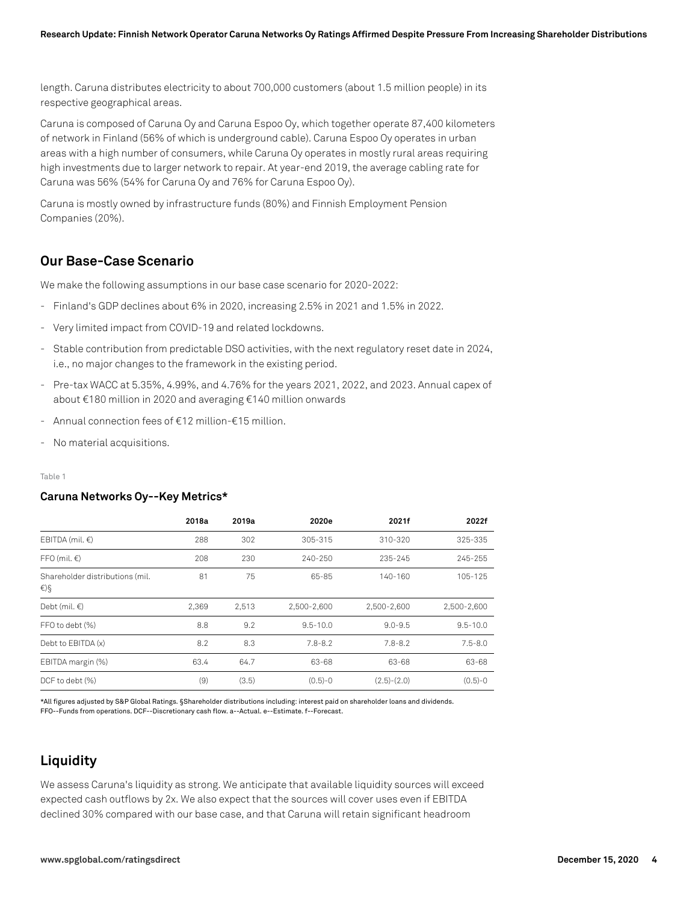length. Caruna distributes electricity to about 700,000 customers (about 1.5 million people) in its respective geographical areas.

Caruna is composed of Caruna Oy and Caruna Espoo Oy, which together operate 87,400 kilometers of network in Finland (56% of which is underground cable). Caruna Espoo Oy operates in urban areas with a high number of consumers, while Caruna Oy operates in mostly rural areas requiring high investments due to larger network to repair. At year-end 2019, the average cabling rate for Caruna was 56% (54% for Caruna Oy and 76% for Caruna Espoo Oy).

Caruna is mostly owned by infrastructure funds (80%) and Finnish Employment Pension Companies (20%).

### **Our Base-Case Scenario**

We make the following assumptions in our base case scenario for 2020-2022:

- Finland's GDP declines about 6% in 2020, increasing 2.5% in 2021 and 1.5% in 2022.
- Very limited impact from COVID-19 and related lockdowns.
- Stable contribution from predictable DSO activities, with the next regulatory reset date in 2024, i.e., no major changes to the framework in the existing period.
- Pre-tax WACC at 5.35%, 4.99%, and 4.76% for the years 2021, 2022, and 2023. Annual capex of about €180 million in 2020 and averaging €140 million onwards
- Annual connection fees of €12 million-€15 million.
- No material acquisitions.

Table 1

#### **Caruna Networks Oy--Key Metrics\***

|                                        | 2018a | 2019a | 2020e        | 2021f         | 2022f        |
|----------------------------------------|-------|-------|--------------|---------------|--------------|
| EBITDA (mil. $\epsilon$ )              | 288   | 302   | 305-315      | 310-320       | 325-335      |
| $FFO$ (mil. $\in$ )                    | 208   | 230   | 240-250      | 235-245       | 245-255      |
| Shareholder distributions (mil.<br>€)§ | 81    | 75    | 65-85        | 140-160       | 105-125      |
| Debt (mil. $\in$ )                     | 2.369 | 2.513 | 2.500-2.600  | 2.500-2.600   | 2.500-2.600  |
| FFO to debt (%)                        | 8.8   | 9.2   | $9.5 - 10.0$ | $9.0 - 9.5$   | $9.5 - 10.0$ |
| Debt to EBITDA (x)                     | 8.2   | 8.3   | $7.8 - 8.2$  | $7.8 - 8.2$   | $7.5 - 8.0$  |
| EBITDA margin (%)                      | 63.4  | 64.7  | 63-68        | 63-68         | 63-68        |
| DCF to debt (%)                        | (9)   | (3.5) | $(0.5)-0$    | $(2.5)-(2.0)$ | $(0.5)-0$    |

\*All figures adjusted by S&P Global Ratings. §Shareholder distributions including: interest paid on shareholder loans and dividends. FFO--Funds from operations. DCF--Discretionary cash flow. a--Actual. e--Estimate. f--Forecast.

## **Liquidity**

We assess Caruna's liquidity as strong. We anticipate that available liquidity sources will exceed expected cash outflows by 2x. We also expect that the sources will cover uses even if EBITDA declined 30% compared with our base case, and that Caruna will retain significant headroom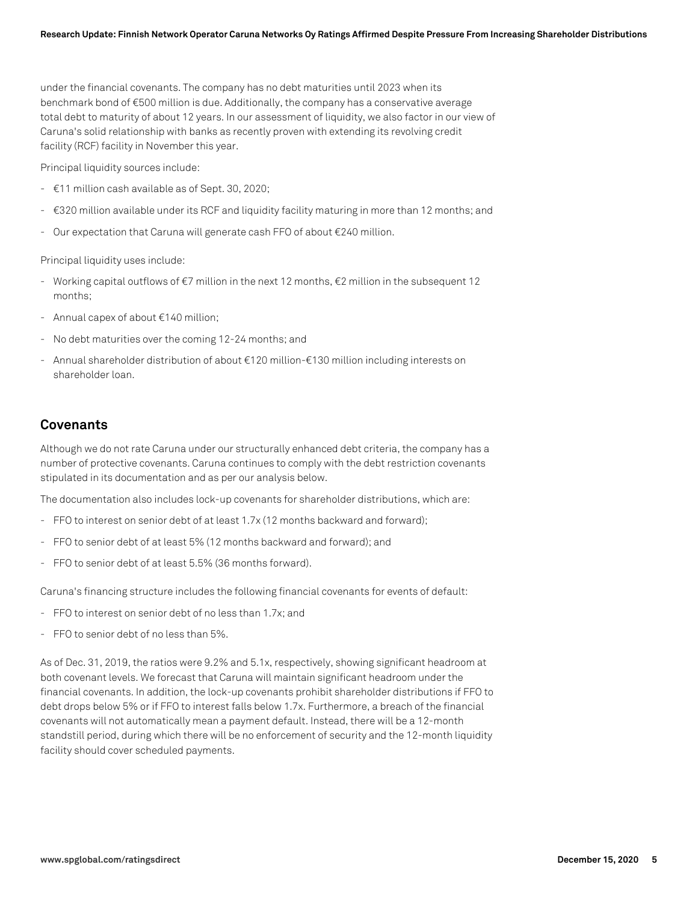under the financial covenants. The company has no debt maturities until 2023 when its benchmark bond of €500 million is due. Additionally, the company has a conservative average total debt to maturity of about 12 years. In our assessment of liquidity, we also factor in our view of Caruna's solid relationship with banks as recently proven with extending its revolving credit facility (RCF) facility in November this year.

Principal liquidity sources include:

- €11 million cash available as of Sept. 30, 2020;
- €320 million available under its RCF and liquidity facility maturing in more than 12 months; and
- Our expectation that Caruna will generate cash FFO of about €240 million.

Principal liquidity uses include:

- Working capital outflows of €7 million in the next 12 months, €2 million in the subsequent 12 months;
- Annual capex of about €140 million;
- No debt maturities over the coming 12-24 months; and
- Annual shareholder distribution of about €120 million-€130 million including interests on shareholder loan.

#### **Covenants**

Although we do not rate Caruna under our structurally enhanced debt criteria, the company has a number of protective covenants. Caruna continues to comply with the debt restriction covenants stipulated in its documentation and as per our analysis below.

The documentation also includes lock-up covenants for shareholder distributions, which are:

- FFO to interest on senior debt of at least 1.7x (12 months backward and forward);
- FFO to senior debt of at least 5% (12 months backward and forward); and
- FFO to senior debt of at least 5.5% (36 months forward).

Caruna's financing structure includes the following financial covenants for events of default:

- FFO to interest on senior debt of no less than 1.7x; and
- FFO to senior debt of no less than 5%.

As of Dec. 31, 2019, the ratios were 9.2% and 5.1x, respectively, showing significant headroom at both covenant levels. We forecast that Caruna will maintain significant headroom under the financial covenants. In addition, the lock-up covenants prohibit shareholder distributions if FFO to debt drops below 5% or if FFO to interest falls below 1.7x. Furthermore, a breach of the financial covenants will not automatically mean a payment default. Instead, there will be a 12-month standstill period, during which there will be no enforcement of security and the 12-month liquidity facility should cover scheduled payments.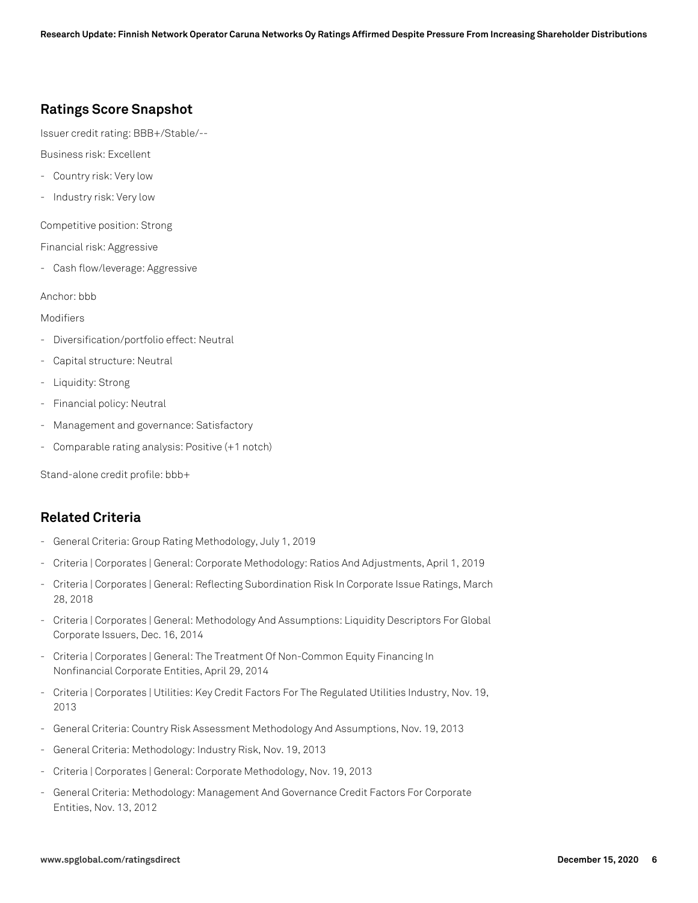## **Ratings Score Snapshot**

Issuer credit rating: BBB+/Stable/--

Business risk: Excellent

- Country risk: Very low
- Industry risk: Very low

Competitive position: Strong

Financial risk: Aggressive

- Cash flow/leverage: Aggressive

Anchor: bbb

#### Modifiers

- Diversification/portfolio effect: Neutral
- Capital structure: Neutral
- Liquidity: Strong
- Financial policy: Neutral
- Management and governance: Satisfactory
- Comparable rating analysis: Positive (+1 notch)

Stand-alone credit profile: bbb+

## **Related Criteria**

- General Criteria: Group Rating Methodology, July 1, 2019
- Criteria | Corporates | General: Corporate Methodology: Ratios And Adjustments, April 1, 2019
- Criteria | Corporates | General: Reflecting Subordination Risk In Corporate Issue Ratings, March 28, 2018
- Criteria | Corporates | General: Methodology And Assumptions: Liquidity Descriptors For Global Corporate Issuers, Dec. 16, 2014
- Criteria | Corporates | General: The Treatment Of Non-Common Equity Financing In Nonfinancial Corporate Entities, April 29, 2014
- Criteria | Corporates | Utilities: Key Credit Factors For The Regulated Utilities Industry, Nov. 19, 2013
- General Criteria: Country Risk Assessment Methodology And Assumptions, Nov. 19, 2013
- General Criteria: Methodology: Industry Risk, Nov. 19, 2013
- Criteria | Corporates | General: Corporate Methodology, Nov. 19, 2013
- General Criteria: Methodology: Management And Governance Credit Factors For Corporate Entities, Nov. 13, 2012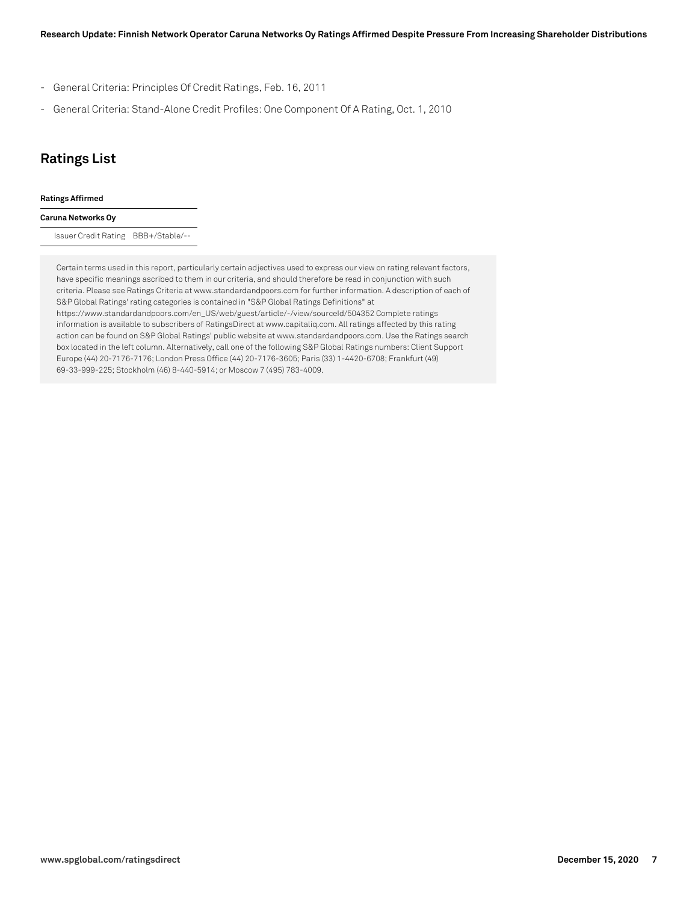- General Criteria: Principles Of Credit Ratings, Feb. 16, 2011
- General Criteria: Stand-Alone Credit Profiles: One Component Of A Rating, Oct. 1, 2010

## **Ratings List**

#### **Ratings Affirmed**

#### **Caruna Networks Oy**

Issuer Credit Rating BBB+/Stable/--

Certain terms used in this report, particularly certain adjectives used to express our view on rating relevant factors, have specific meanings ascribed to them in our criteria, and should therefore be read in conjunction with such criteria. Please see Ratings Criteria at www.standardandpoors.com for further information. A description of each of S&P Global Ratings' rating categories is contained in "S&P Global Ratings Definitions" at https://www.standardandpoors.com/en\_US/web/guest/article/-/view/sourceId/504352 Complete ratings information is available to subscribers of RatingsDirect at www.capitaliq.com. All ratings affected by this rating action can be found on S&P Global Ratings' public website at www.standardandpoors.com. Use the Ratings search box located in the left column. Alternatively, call one of the following S&P Global Ratings numbers: Client Support Europe (44) 20-7176-7176; London Press Office (44) 20-7176-3605; Paris (33) 1-4420-6708; Frankfurt (49) 69-33-999-225; Stockholm (46) 8-440-5914; or Moscow 7 (495) 783-4009.